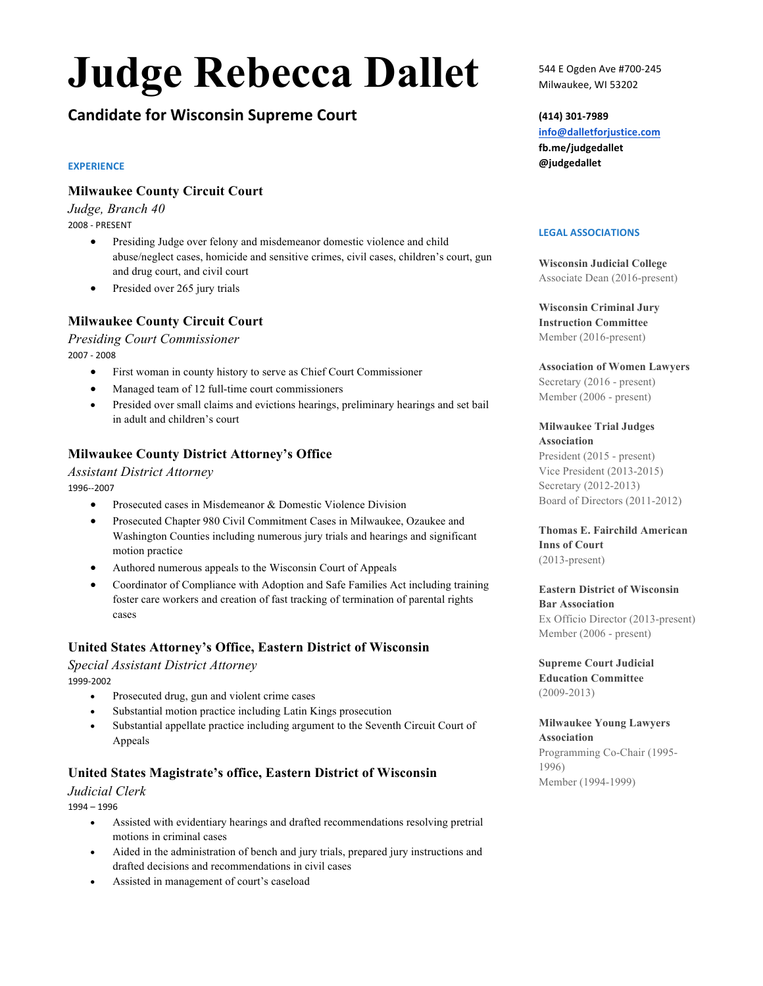# **Judge Rebecca Dallet**

## **Candidate for Wisconsin Supreme Court**

#### **EXPERIENCE**

## **Milwaukee County Circuit Court**

*Judge, Branch 40*  2008 - PRESENT

- Presiding Judge over felony and misdemeanor domestic violence and child abuse/neglect cases, homicide and sensitive crimes, civil cases, children's court, gun and drug court, and civil court
- Presided over 265 jury trials

## **Milwaukee County Circuit Court**

*Presiding Court Commissioner*  2007 - 2008

- First woman in county history to serve as Chief Court Commissioner
- Managed team of 12 full-time court commissioners
- Presided over small claims and evictions hearings, preliminary hearings and set bail in adult and children's court

## **Milwaukee County District Attorney's Office**

*Assistant District Attorney* 1996--2007

- Prosecuted cases in Misdemeanor & Domestic Violence Division
- Prosecuted Chapter 980 Civil Commitment Cases in Milwaukee, Ozaukee and Washington Counties including numerous jury trials and hearings and significant motion practice
- Authored numerous appeals to the Wisconsin Court of Appeals
- Coordinator of Compliance with Adoption and Safe Families Act including training foster care workers and creation of fast tracking of termination of parental rights cases

## **United States Attorney's Office, Eastern District of Wisconsin**

*Special Assistant District Attorney*  1999-2002

- Prosecuted drug, gun and violent crime cases
- Substantial motion practice including Latin Kings prosecution
- Substantial appellate practice including argument to the Seventh Circuit Court of Appeals

## **United States Magistrate's office, Eastern District of Wisconsin**

#### *Judicial Clerk*

1994 – 1996

- Assisted with evidentiary hearings and drafted recommendations resolving pretrial motions in criminal cases
- Aided in the administration of bench and jury trials, prepared jury instructions and drafted decisions and recommendations in civil cases
- Assisted in management of court's caseload

544 E Ogden Ave #700-245 Milwaukee, WI 53202

#### **(414) 301-7989**

**info@dalletforjustice.com fb.me/judgedallet @judgedallet**

#### **LEGAL ASSOCIATIONS**

**Wisconsin Judicial College**  Associate Dean (2016-present)

**Wisconsin Criminal Jury Instruction Committee**  Member (2016-present)

#### **Association of Women Lawyers**

Secretary (2016 - present) Member (2006 - present)

#### **Milwaukee Trial Judges Association**

President (2015 - present) Vice President (2013-2015) Secretary (2012-2013) Board of Directors (2011-2012)

#### **Thomas E. Fairchild American Inns of Court**  (2013-present)

#### **Eastern District of Wisconsin Bar Association** Ex Officio Director (2013-present) Member (2006 - present)

**Supreme Court Judicial Education Committee** (2009-2013)

#### **Milwaukee Young Lawyers Association**  Programming Co-Chair (1995-

1996) Member (1994-1999)